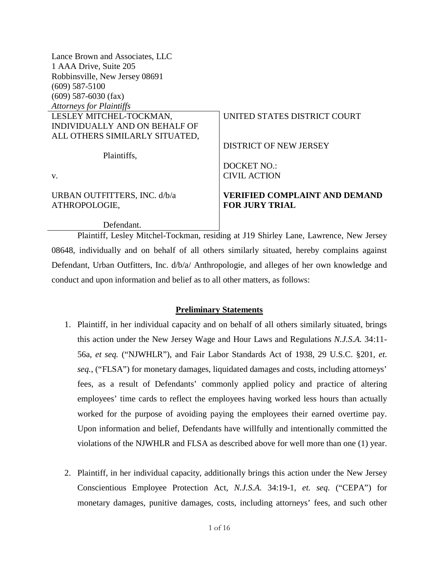| Lance Brown and Associates, LLC |                                      |
|---------------------------------|--------------------------------------|
| 1 AAA Drive, Suite 205          |                                      |
| Robbinsville, New Jersey 08691  |                                      |
| $(609)$ 587-5100                |                                      |
| $(609)$ 587-6030 (fax)          |                                      |
| <b>Attorneys for Plaintiffs</b> |                                      |
| LESLEY MITCHEL-TOCKMAN,         | UNITED STATES DISTRICT COURT         |
| INDIVIDUALLY AND ON BEHALF OF   |                                      |
| ALL OTHERS SIMILARLY SITUATED,  |                                      |
|                                 | <b>DISTRICT OF NEW JERSEY</b>        |
| Plaintiffs,                     |                                      |
|                                 | <b>DOCKET NO.:</b>                   |
| V.                              | <b>CIVIL ACTION</b>                  |
| URBAN OUTFITTERS, INC. d/b/a    | <b>VERIFIED COMPLAINT AND DEMAND</b> |
| ATHROPOLOGIE,                   | <b>FOR JURY TRIAL</b>                |
|                                 |                                      |
| Defendant.                      |                                      |

Plaintiff, Lesley Mitchel-Tockman, residing at J19 Shirley Lane, Lawrence, New Jersey 08648, individually and on behalf of all others similarly situated, hereby complains against Defendant, Urban Outfitters, Inc. d/b/a/ Anthropologie, and alleges of her own knowledge and conduct and upon information and belief as to all other matters, as follows:

### **Preliminary Statements**

- 1. Plaintiff, in her individual capacity and on behalf of all others similarly situated, brings this action under the New Jersey Wage and Hour Laws and Regulations *N.J.S.A.* 34:11- 56a, *et seq.* ("NJWHLR"), and Fair Labor Standards Act of 1938, 29 U.S.C. §201, *et. seq.*, ("FLSA") for monetary damages, liquidated damages and costs, including attorneys' fees, as a result of Defendants' commonly applied policy and practice of altering employees' time cards to reflect the employees having worked less hours than actually worked for the purpose of avoiding paying the employees their earned overtime pay. Upon information and belief, Defendants have willfully and intentionally committed the violations of the NJWHLR and FLSA as described above for well more than one (1) year.
- 2. Plaintiff, in her individual capacity, additionally brings this action under the New Jersey Conscientious Employee Protection Act, *N.J.S.A.* 34:19-1, *et. seq.* ("CEPA") for monetary damages, punitive damages, costs, including attorneys' fees, and such other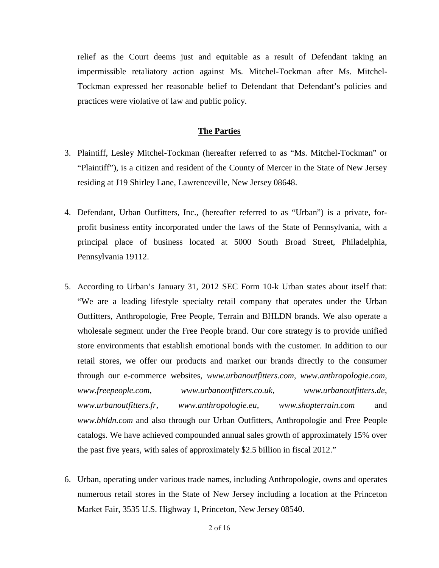relief as the Court deems just and equitable as a result of Defendant taking an impermissible retaliatory action against Ms. Mitchel-Tockman after Ms. Mitchel-Tockman expressed her reasonable belief to Defendant that Defendant's policies and practices were violative of law and public policy.

#### **The Parties**

- 3. Plaintiff, Lesley Mitchel-Tockman (hereafter referred to as "Ms. Mitchel-Tockman" or "Plaintiff"), is a citizen and resident of the County of Mercer in the State of New Jersey residing at J19 Shirley Lane, Lawrenceville, New Jersey 08648.
- 4. Defendant, Urban Outfitters, Inc., (hereafter referred to as "Urban") is a private, forprofit business entity incorporated under the laws of the State of Pennsylvania, with a principal place of business located at 5000 South Broad Street, Philadelphia, Pennsylvania 19112.
- 5. According to Urban's January 31, 2012 SEC Form 10-k Urban states about itself that: "We are a leading lifestyle specialty retail company that operates under the Urban Outfitters, Anthropologie, Free People, Terrain and BHLDN brands. We also operate a wholesale segment under the Free People brand. Our core strategy is to provide unified store environments that establish emotional bonds with the customer. In addition to our retail stores, we offer our products and market our brands directly to the consumer through our e-commerce websites, *www.urbanoutfitters.com*, *www.anthropologie.com, www.freepeople.com*, *www.urbanoutfitters.co.uk*, *www.urbanoutfitters.de*, *www.urbanoutfitters.fr, www.anthropologie.eu, www.shopterrain.com* and *www.bhldn.com* and also through our Urban Outfitters, Anthropologie and Free People catalogs. We have achieved compounded annual sales growth of approximately 15% over the past five years, with sales of approximately \$2.5 billion in fiscal 2012."
- 6. Urban, operating under various trade names, including Anthropologie, owns and operates numerous retail stores in the State of New Jersey including a location at the Princeton Market Fair, 3535 U.S. Highway 1, Princeton, New Jersey 08540.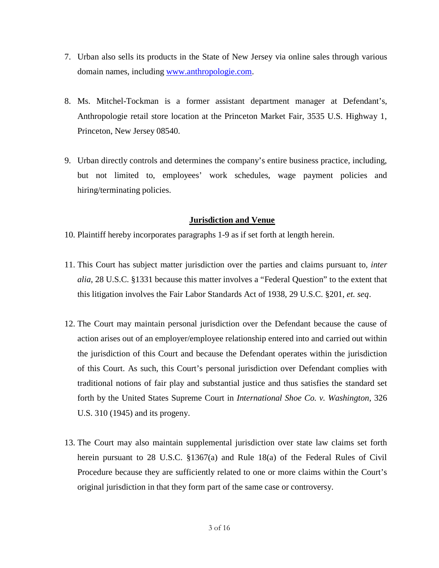- 7. Urban also sells its products in the State of New Jersey via online sales through various domain names, including www.anthropologie.com.
- 8. Ms. Mitchel-Tockman is a former assistant department manager at Defendant's, Anthropologie retail store location at the Princeton Market Fair, 3535 U.S. Highway 1, Princeton, New Jersey 08540.
- 9. Urban directly controls and determines the company's entire business practice, including, but not limited to, employees' work schedules, wage payment policies and hiring/terminating policies.

### **Jurisdiction and Venue**

- 10. Plaintiff hereby incorporates paragraphs 1-9 as if set forth at length herein.
- 11. This Court has subject matter jurisdiction over the parties and claims pursuant to*, inter alia*, 28 U.S.C. §1331 because this matter involves a "Federal Question" to the extent that this litigation involves the Fair Labor Standards Act of 1938, 29 U.S.C. §201, *et. seq*.
- 12. The Court may maintain personal jurisdiction over the Defendant because the cause of action arises out of an employer/employee relationship entered into and carried out within the jurisdiction of this Court and because the Defendant operates within the jurisdiction of this Court. As such, this Court's personal jurisdiction over Defendant complies with traditional notions of fair play and substantial justice and thus satisfies the standard set forth by the United States Supreme Court in *International Shoe Co. v. Washington*, 326 U.S. 310 (1945) and its progeny.
- 13. The Court may also maintain supplemental jurisdiction over state law claims set forth herein pursuant to 28 U.S.C. §1367(a) and Rule 18(a) of the Federal Rules of Civil Procedure because they are sufficiently related to one or more claims within the Court's original jurisdiction in that they form part of the same case or controversy.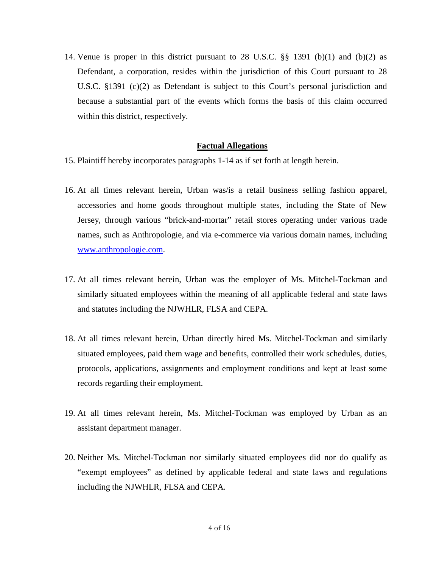14. Venue is proper in this district pursuant to 28 U.S.C. §§ 1391 (b)(1) and (b)(2) as Defendant, a corporation, resides within the jurisdiction of this Court pursuant to 28 U.S.C. §1391 (c)(2) as Defendant is subject to this Court's personal jurisdiction and because a substantial part of the events which forms the basis of this claim occurred within this district, respectively.

#### **Factual Allegations**

- 15. Plaintiff hereby incorporates paragraphs 1-14 as if set forth at length herein.
- 16. At all times relevant herein, Urban was/is a retail business selling fashion apparel, accessories and home goods throughout multiple states, including the State of New Jersey, through various "brick-and-mortar" retail stores operating under various trade names, such as Anthropologie, and via e-commerce via various domain names, including www.anthropologie.com.
- 17. At all times relevant herein, Urban was the employer of Ms. Mitchel-Tockman and similarly situated employees within the meaning of all applicable federal and state laws and statutes including the NJWHLR, FLSA and CEPA.
- 18. At all times relevant herein, Urban directly hired Ms. Mitchel-Tockman and similarly situated employees, paid them wage and benefits, controlled their work schedules, duties, protocols, applications, assignments and employment conditions and kept at least some records regarding their employment.
- 19. At all times relevant herein, Ms. Mitchel-Tockman was employed by Urban as an assistant department manager.
- 20. Neither Ms. Mitchel-Tockman nor similarly situated employees did nor do qualify as "exempt employees" as defined by applicable federal and state laws and regulations including the NJWHLR, FLSA and CEPA.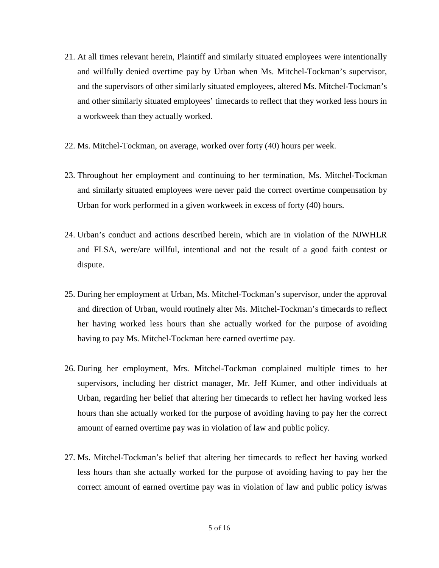- 21. At all times relevant herein, Plaintiff and similarly situated employees were intentionally and willfully denied overtime pay by Urban when Ms. Mitchel-Tockman's supervisor, and the supervisors of other similarly situated employees, altered Ms. Mitchel-Tockman's and other similarly situated employees' timecards to reflect that they worked less hours in a workweek than they actually worked.
- 22. Ms. Mitchel-Tockman, on average, worked over forty (40) hours per week.
- 23. Throughout her employment and continuing to her termination, Ms. Mitchel-Tockman and similarly situated employees were never paid the correct overtime compensation by Urban for work performed in a given workweek in excess of forty (40) hours.
- 24. Urban's conduct and actions described herein, which are in violation of the NJWHLR and FLSA, were/are willful, intentional and not the result of a good faith contest or dispute.
- 25. During her employment at Urban, Ms. Mitchel-Tockman's supervisor, under the approval and direction of Urban, would routinely alter Ms. Mitchel-Tockman's timecards to reflect her having worked less hours than she actually worked for the purpose of avoiding having to pay Ms. Mitchel-Tockman here earned overtime pay.
- 26. During her employment, Mrs. Mitchel-Tockman complained multiple times to her supervisors, including her district manager, Mr. Jeff Kumer, and other individuals at Urban, regarding her belief that altering her timecards to reflect her having worked less hours than she actually worked for the purpose of avoiding having to pay her the correct amount of earned overtime pay was in violation of law and public policy.
- 27. Ms. Mitchel-Tockman's belief that altering her timecards to reflect her having worked less hours than she actually worked for the purpose of avoiding having to pay her the correct amount of earned overtime pay was in violation of law and public policy is/was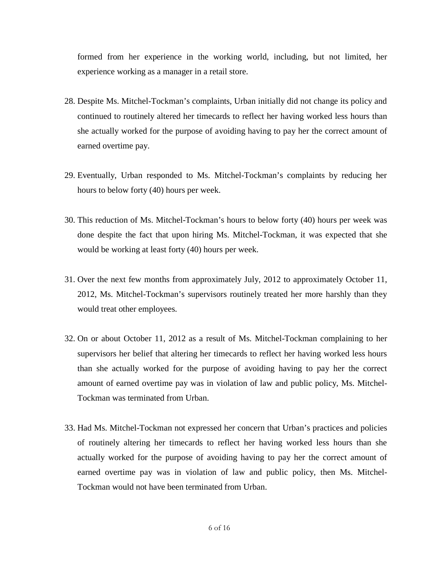formed from her experience in the working world, including, but not limited, her experience working as a manager in a retail store.

- 28. Despite Ms. Mitchel-Tockman's complaints, Urban initially did not change its policy and continued to routinely altered her timecards to reflect her having worked less hours than she actually worked for the purpose of avoiding having to pay her the correct amount of earned overtime pay.
- 29. Eventually, Urban responded to Ms. Mitchel-Tockman's complaints by reducing her hours to below forty (40) hours per week.
- 30. This reduction of Ms. Mitchel-Tockman's hours to below forty (40) hours per week was done despite the fact that upon hiring Ms. Mitchel-Tockman, it was expected that she would be working at least forty (40) hours per week.
- 31. Over the next few months from approximately July, 2012 to approximately October 11, 2012, Ms. Mitchel-Tockman's supervisors routinely treated her more harshly than they would treat other employees.
- 32. On or about October 11, 2012 as a result of Ms. Mitchel-Tockman complaining to her supervisors her belief that altering her timecards to reflect her having worked less hours than she actually worked for the purpose of avoiding having to pay her the correct amount of earned overtime pay was in violation of law and public policy, Ms. Mitchel-Tockman was terminated from Urban.
- 33. Had Ms. Mitchel-Tockman not expressed her concern that Urban's practices and policies of routinely altering her timecards to reflect her having worked less hours than she actually worked for the purpose of avoiding having to pay her the correct amount of earned overtime pay was in violation of law and public policy, then Ms. Mitchel-Tockman would not have been terminated from Urban.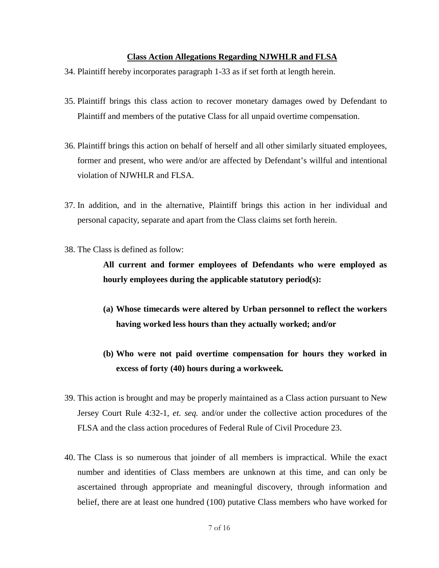### **Class Action Allegations Regarding NJWHLR and FLSA**

- 34. Plaintiff hereby incorporates paragraph 1-33 as if set forth at length herein.
- 35. Plaintiff brings this class action to recover monetary damages owed by Defendant to Plaintiff and members of the putative Class for all unpaid overtime compensation.
- 36. Plaintiff brings this action on behalf of herself and all other similarly situated employees, former and present, who were and/or are affected by Defendant's willful and intentional violation of NJWHLR and FLSA.
- 37. In addition, and in the alternative, Plaintiff brings this action in her individual and personal capacity, separate and apart from the Class claims set forth herein.
- 38. The Class is defined as follow:

**All current and former employees of Defendants who were employed as hourly employees during the applicable statutory period(s):** 

- **(a) Whose timecards were altered by Urban personnel to reflect the workers having worked less hours than they actually worked; and/or**
- **(b) Who were not paid overtime compensation for hours they worked in excess of forty (40) hours during a workweek.**
- 39. This action is brought and may be properly maintained as a Class action pursuant to New Jersey Court Rule 4:32-1*, et. seq.* and/or under the collective action procedures of the FLSA and the class action procedures of Federal Rule of Civil Procedure 23.
- 40. The Class is so numerous that joinder of all members is impractical. While the exact number and identities of Class members are unknown at this time, and can only be ascertained through appropriate and meaningful discovery, through information and belief, there are at least one hundred (100) putative Class members who have worked for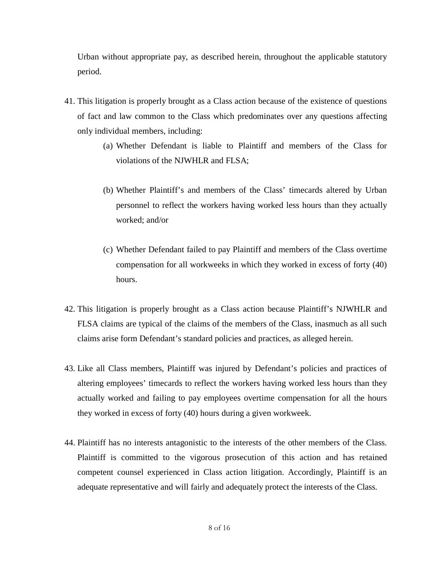Urban without appropriate pay, as described herein, throughout the applicable statutory period.

- 41. This litigation is properly brought as a Class action because of the existence of questions of fact and law common to the Class which predominates over any questions affecting only individual members, including:
	- (a) Whether Defendant is liable to Plaintiff and members of the Class for violations of the NJWHLR and FLSA;
	- (b) Whether Plaintiff's and members of the Class' timecards altered by Urban personnel to reflect the workers having worked less hours than they actually worked; and/or
	- (c) Whether Defendant failed to pay Plaintiff and members of the Class overtime compensation for all workweeks in which they worked in excess of forty (40) hours.
- 42. This litigation is properly brought as a Class action because Plaintiff's NJWHLR and FLSA claims are typical of the claims of the members of the Class, inasmuch as all such claims arise form Defendant's standard policies and practices, as alleged herein.
- 43. Like all Class members, Plaintiff was injured by Defendant's policies and practices of altering employees' timecards to reflect the workers having worked less hours than they actually worked and failing to pay employees overtime compensation for all the hours they worked in excess of forty (40) hours during a given workweek.
- 44. Plaintiff has no interests antagonistic to the interests of the other members of the Class. Plaintiff is committed to the vigorous prosecution of this action and has retained competent counsel experienced in Class action litigation. Accordingly, Plaintiff is an adequate representative and will fairly and adequately protect the interests of the Class.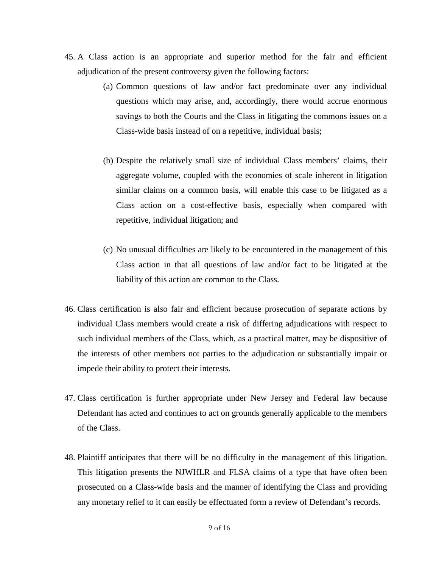- 45. A Class action is an appropriate and superior method for the fair and efficient adjudication of the present controversy given the following factors:
	- (a) Common questions of law and/or fact predominate over any individual questions which may arise, and, accordingly, there would accrue enormous savings to both the Courts and the Class in litigating the commons issues on a Class-wide basis instead of on a repetitive, individual basis;
	- (b) Despite the relatively small size of individual Class members' claims, their aggregate volume, coupled with the economies of scale inherent in litigation similar claims on a common basis, will enable this case to be litigated as a Class action on a cost-effective basis, especially when compared with repetitive, individual litigation; and
	- (c) No unusual difficulties are likely to be encountered in the management of this Class action in that all questions of law and/or fact to be litigated at the liability of this action are common to the Class.
- 46. Class certification is also fair and efficient because prosecution of separate actions by individual Class members would create a risk of differing adjudications with respect to such individual members of the Class, which, as a practical matter, may be dispositive of the interests of other members not parties to the adjudication or substantially impair or impede their ability to protect their interests.
- 47. Class certification is further appropriate under New Jersey and Federal law because Defendant has acted and continues to act on grounds generally applicable to the members of the Class.
- 48. Plaintiff anticipates that there will be no difficulty in the management of this litigation. This litigation presents the NJWHLR and FLSA claims of a type that have often been prosecuted on a Class-wide basis and the manner of identifying the Class and providing any monetary relief to it can easily be effectuated form a review of Defendant's records.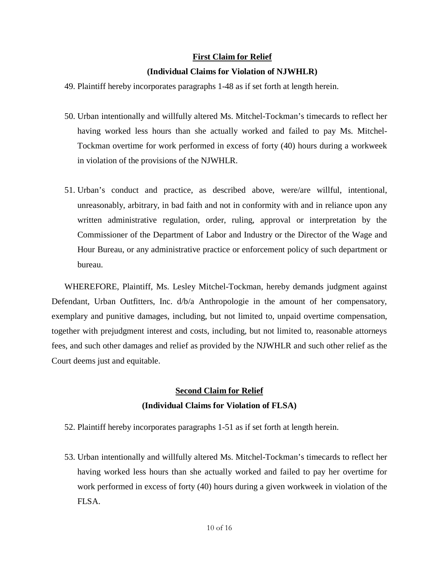### **First Claim for Relief**

### **(Individual Claims for Violation of NJWHLR)**

- 49. Plaintiff hereby incorporates paragraphs 1-48 as if set forth at length herein.
- 50. Urban intentionally and willfully altered Ms. Mitchel-Tockman's timecards to reflect her having worked less hours than she actually worked and failed to pay Ms. Mitchel-Tockman overtime for work performed in excess of forty (40) hours during a workweek in violation of the provisions of the NJWHLR.
- 51. Urban's conduct and practice, as described above, were/are willful, intentional, unreasonably, arbitrary, in bad faith and not in conformity with and in reliance upon any written administrative regulation, order, ruling, approval or interpretation by the Commissioner of the Department of Labor and Industry or the Director of the Wage and Hour Bureau, or any administrative practice or enforcement policy of such department or bureau.

WHEREFORE, Plaintiff, Ms. Lesley Mitchel-Tockman, hereby demands judgment against Defendant, Urban Outfitters, Inc. d/b/a Anthropologie in the amount of her compensatory, exemplary and punitive damages, including, but not limited to, unpaid overtime compensation, together with prejudgment interest and costs, including, but not limited to, reasonable attorneys fees, and such other damages and relief as provided by the NJWHLR and such other relief as the Court deems just and equitable.

# **Second Claim for Relief (Individual Claims for Violation of FLSA)**

- 52. Plaintiff hereby incorporates paragraphs 1-51 as if set forth at length herein.
- 53. Urban intentionally and willfully altered Ms. Mitchel-Tockman's timecards to reflect her having worked less hours than she actually worked and failed to pay her overtime for work performed in excess of forty (40) hours during a given workweek in violation of the FLSA.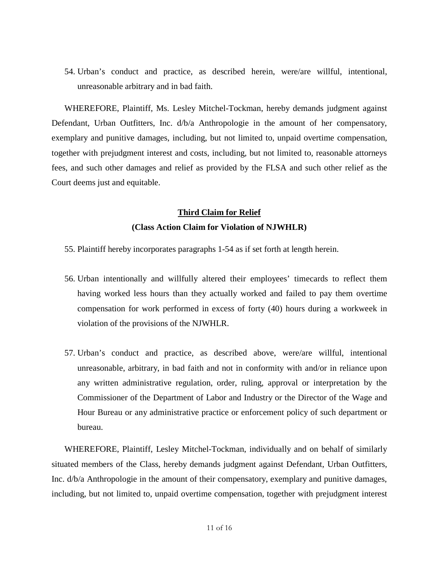54. Urban's conduct and practice, as described herein, were/are willful, intentional, unreasonable arbitrary and in bad faith.

WHEREFORE, Plaintiff, Ms. Lesley Mitchel-Tockman, hereby demands judgment against Defendant, Urban Outfitters, Inc. d/b/a Anthropologie in the amount of her compensatory, exemplary and punitive damages, including, but not limited to, unpaid overtime compensation, together with prejudgment interest and costs, including, but not limited to, reasonable attorneys fees, and such other damages and relief as provided by the FLSA and such other relief as the Court deems just and equitable.

# **Third Claim for Relief (Class Action Claim for Violation of NJWHLR)**

- 55. Plaintiff hereby incorporates paragraphs 1-54 as if set forth at length herein.
- 56. Urban intentionally and willfully altered their employees' timecards to reflect them having worked less hours than they actually worked and failed to pay them overtime compensation for work performed in excess of forty (40) hours during a workweek in violation of the provisions of the NJWHLR.
- 57. Urban's conduct and practice, as described above, were/are willful, intentional unreasonable, arbitrary, in bad faith and not in conformity with and/or in reliance upon any written administrative regulation, order, ruling, approval or interpretation by the Commissioner of the Department of Labor and Industry or the Director of the Wage and Hour Bureau or any administrative practice or enforcement policy of such department or bureau.

WHEREFORE, Plaintiff, Lesley Mitchel-Tockman, individually and on behalf of similarly situated members of the Class, hereby demands judgment against Defendant, Urban Outfitters, Inc. d/b/a Anthropologie in the amount of their compensatory, exemplary and punitive damages, including, but not limited to, unpaid overtime compensation, together with prejudgment interest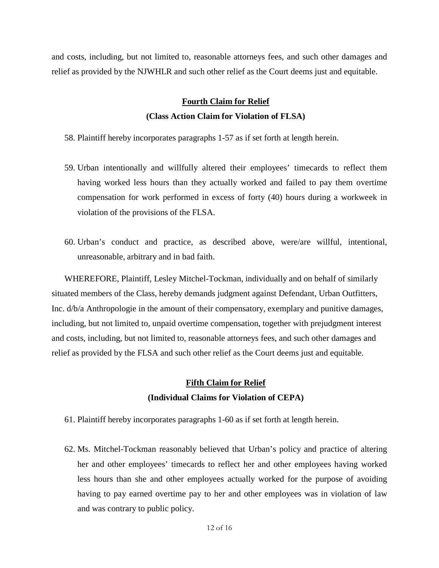and costs, including, but not limited to, reasonable attorneys fees, and such other damages and relief as provided by the NJWHLR and such other relief as the Court deems just and equitable.

## **Fourth Claim for Relief (Class Action Claim for Violation of FLSA)**

58. Plaintiff hereby incorporates paragraphs 1-57 as if set forth at length herein.

- 59. Urban intentionally and willfully altered their employees' timecards to reflect them having worked less hours than they actually worked and failed to pay them overtime compensation for work performed in excess of forty (40) hours during a workweek in violation of the provisions of the FLSA.
- 60. Urban's conduct and practice, as described above, were/are willful, intentional, unreasonable, arbitrary and in bad faith.

WHEREFORE, Plaintiff, Lesley Mitchel-Tockman, individually and on behalf of similarly situated members of the Class, hereby demands judgment against Defendant, Urban Outfitters, Inc. d/b/a Anthropologie in the amount of their compensatory, exemplary and punitive damages, including, but not limited to, unpaid overtime compensation, together with prejudgment interest and costs, including, but not limited to, reasonable attorneys fees, and such other damages and relief as provided by the FLSA and such other relief as the Court deems just and equitable.

# **Fifth Claim for Relief (Individual Claims for Violation of CEPA)**

- 61. Plaintiff hereby incorporates paragraphs 1-60 as if set forth at length herein.
- 62. Ms. Mitchel-Tockman reasonably believed that Urban's policy and practice of altering her and other employees' timecards to reflect her and other employees having worked less hours than she and other employees actually worked for the purpose of avoiding having to pay earned overtime pay to her and other employees was in violation of law and was contrary to public policy.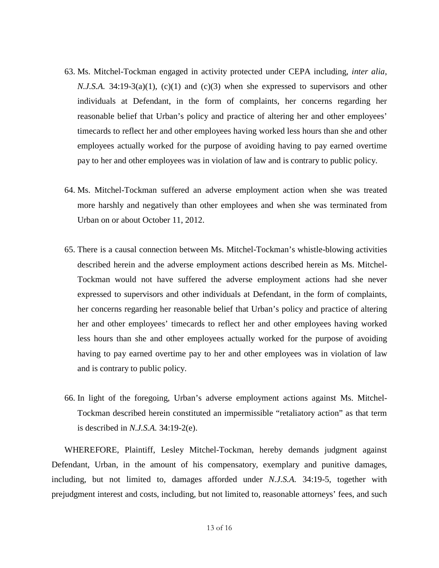- 63. Ms. Mitchel-Tockman engaged in activity protected under CEPA including, *inter alia*, *N.J.S.A.* 34:19-3(a)(1), (c)(1) and (c)(3) when she expressed to supervisors and other individuals at Defendant, in the form of complaints, her concerns regarding her reasonable belief that Urban's policy and practice of altering her and other employees' timecards to reflect her and other employees having worked less hours than she and other employees actually worked for the purpose of avoiding having to pay earned overtime pay to her and other employees was in violation of law and is contrary to public policy.
- 64. Ms. Mitchel-Tockman suffered an adverse employment action when she was treated more harshly and negatively than other employees and when she was terminated from Urban on or about October 11, 2012.
- 65. There is a causal connection between Ms. Mitchel-Tockman's whistle-blowing activities described herein and the adverse employment actions described herein as Ms. Mitchel-Tockman would not have suffered the adverse employment actions had she never expressed to supervisors and other individuals at Defendant, in the form of complaints, her concerns regarding her reasonable belief that Urban's policy and practice of altering her and other employees' timecards to reflect her and other employees having worked less hours than she and other employees actually worked for the purpose of avoiding having to pay earned overtime pay to her and other employees was in violation of law and is contrary to public policy.
- 66. In light of the foregoing, Urban's adverse employment actions against Ms. Mitchel-Tockman described herein constituted an impermissible "retaliatory action" as that term is described in *N.J.S.A.* 34:19-2(e).

WHEREFORE, Plaintiff, Lesley Mitchel-Tockman, hereby demands judgment against Defendant, Urban, in the amount of his compensatory, exemplary and punitive damages, including, but not limited to, damages afforded under *N.J.S.A.* 34:19-5, together with prejudgment interest and costs, including, but not limited to, reasonable attorneys' fees, and such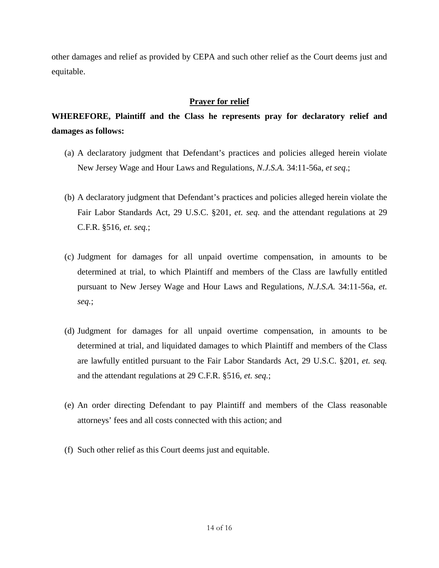other damages and relief as provided by CEPA and such other relief as the Court deems just and equitable.

## **Prayer for relief**

# **WHEREFORE, Plaintiff and the Class he represents pray for declaratory relief and damages as follows:**

- (a) A declaratory judgment that Defendant's practices and policies alleged herein violate New Jersey Wage and Hour Laws and Regulations, *N.J.S.A.* 34:11-56a, *et seq*.;
- (b) A declaratory judgment that Defendant's practices and policies alleged herein violate the Fair Labor Standards Act*,* 29 U.S.C. §201, *et. seq.* and the attendant regulations at 29 C.F.R. §516*, et. seq.*;
- (c) Judgment for damages for all unpaid overtime compensation, in amounts to be determined at trial, to which Plaintiff and members of the Class are lawfully entitled pursuant to New Jersey Wage and Hour Laws and Regulations*, N.J.S.A.* 34:11-56a, *et. seq.*;
- (d) Judgment for damages for all unpaid overtime compensation, in amounts to be determined at trial, and liquidated damages to which Plaintiff and members of the Class are lawfully entitled pursuant to the Fair Labor Standards Act, 29 U.S.C. §201, *et. seq.* and the attendant regulations at 29 C.F.R. §516*, et. seq.*;
- (e) An order directing Defendant to pay Plaintiff and members of the Class reasonable attorneys' fees and all costs connected with this action; and
- (f) Such other relief as this Court deems just and equitable.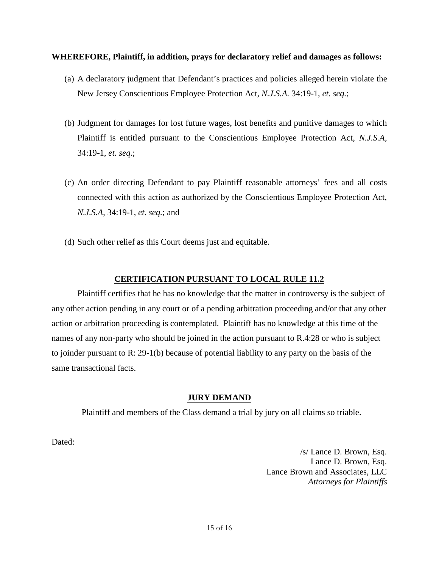### **WHEREFORE, Plaintiff, in addition, prays for declaratory relief and damages as follows:**

- (a) A declaratory judgment that Defendant's practices and policies alleged herein violate the New Jersey Conscientious Employee Protection Act, *N.J.S.A.* 34:19-1, *et. seq.*;
- (b) Judgment for damages for lost future wages, lost benefits and punitive damages to which Plaintiff is entitled pursuant to the Conscientious Employee Protection Act, *N.J.S.A*, 34:19-1, *et. seq*.;
- (c) An order directing Defendant to pay Plaintiff reasonable attorneys' fees and all costs connected with this action as authorized by the Conscientious Employee Protection Act, *N.J.S.A*, 34:19-1, *et. seq.*; and
- (d) Such other relief as this Court deems just and equitable.

### **CERTIFICATION PURSUANT TO LOCAL RULE 11.2**

Plaintiff certifies that he has no knowledge that the matter in controversy is the subject of any other action pending in any court or of a pending arbitration proceeding and/or that any other action or arbitration proceeding is contemplated. Plaintiff has no knowledge at this time of the names of any non-party who should be joined in the action pursuant to R.4:28 or who is subject to joinder pursuant to R: 29-1(b) because of potential liability to any party on the basis of the same transactional facts.

### **JURY DEMAND**

Plaintiff and members of the Class demand a trial by jury on all claims so triable.

Dated:

/s/ Lance D. Brown, Esq. Lance D. Brown, Esq. Lance Brown and Associates, LLC *Attorneys for Plaintiffs*